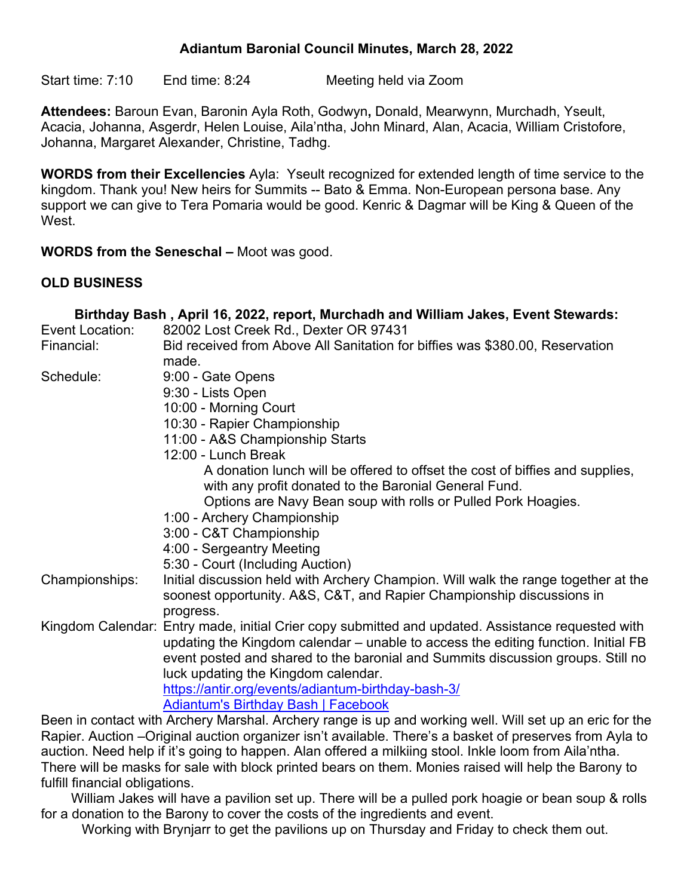### **Adiantum Baronial Council Minutes, March 28, 2022**

Start time: 7:10 End time: 8:24 Meeting held via Zoom

**Attendees:** Baroun Evan, Baronin Ayla Roth, Godwyn**,** Donald, Mearwynn, Murchadh, Yseult, Acacia, Johanna, Asgerdr, Helen Louise, Aila'ntha, John Minard, Alan, Acacia, William Cristofore, Johanna, Margaret Alexander, Christine, Tadhg.

**WORDS from their Excellencies** Ayla: Yseult recognized for extended length of time service to the kingdom. Thank you! New heirs for Summits -- Bato & Emma. Non-European persona base. Any support we can give to Tera Pomaria would be good. Kenric & Dagmar will be King & Queen of the West.

**WORDS from the Seneschal –** Moot was good.

#### **OLD BUSINESS**

|                 | Birthday Bash, April 16, 2022, report, Murchadh and William Jakes, Event Stewards:                                                                          |
|-----------------|-------------------------------------------------------------------------------------------------------------------------------------------------------------|
| Event Location: | 82002 Lost Creek Rd., Dexter OR 97431                                                                                                                       |
| Financial:      | Bid received from Above All Sanitation for biffies was \$380.00, Reservation                                                                                |
|                 | made.                                                                                                                                                       |
| Schedule:       | 9:00 - Gate Opens                                                                                                                                           |
|                 | 9:30 - Lists Open                                                                                                                                           |
|                 | 10:00 - Morning Court                                                                                                                                       |
|                 | 10:30 - Rapier Championship                                                                                                                                 |
|                 | 11:00 - A&S Championship Starts                                                                                                                             |
|                 | 12:00 - Lunch Break                                                                                                                                         |
|                 | A donation lunch will be offered to offset the cost of biffies and supplies,                                                                                |
|                 | with any profit donated to the Baronial General Fund.                                                                                                       |
|                 | Options are Navy Bean soup with rolls or Pulled Pork Hoagies.                                                                                               |
|                 | 1:00 - Archery Championship                                                                                                                                 |
|                 | 3:00 - C&T Championship                                                                                                                                     |
|                 | 4:00 - Sergeantry Meeting                                                                                                                                   |
|                 | 5:30 - Court (Including Auction)                                                                                                                            |
| Championships:  | Initial discussion held with Archery Champion. Will walk the range together at the<br>soonest opportunity. A&S, C&T, and Rapier Championship discussions in |
|                 | progress.                                                                                                                                                   |
|                 | Kingdom Calendar: Entry made, initial Crier copy submitted and updated. Assistance requested with                                                           |
|                 | updating the Kingdom calendar – unable to access the editing function. Initial FB                                                                           |
|                 | event posted and shared to the baronial and Summits discussion groups. Still no                                                                             |
|                 | luck updating the Kingdom calendar.                                                                                                                         |
|                 | https://antir.org/events/adiantum-birthday-bash-3/                                                                                                          |
|                 | <b>Adiantum's Birthday Bash   Facebook</b>                                                                                                                  |
|                 | Been in contact with Archery Marshal. Archery range is up and working well. Will set up an eric for the                                                     |
|                 | Rapier, Auction –Original auction organizer isn't available. There's a basket of preserves from Ayla to                                                     |

ainal auction organizer isn't available. There's a basket o auction. Need help if it's going to happen. Alan offered a milkiing stool. Inkle loom from Aila'ntha. There will be masks for sale with block printed bears on them. Monies raised will help the Barony to fulfill financial obligations.

William Jakes will have a pavilion set up. There will be a pulled pork hoagie or bean soup & rolls for a donation to the Barony to cover the costs of the ingredients and event.

Working with Brynjarr to get the pavilions up on Thursday and Friday to check them out.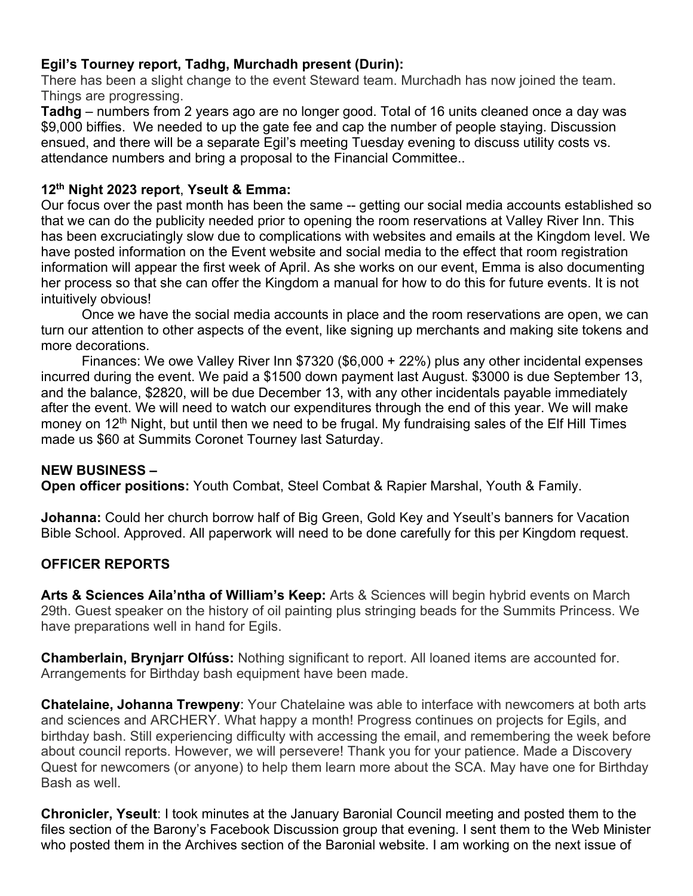### **Egil's Tourney report, Tadhg, Murchadh present (Durin):**

There has been a slight change to the event Steward team. Murchadh has now joined the team. Things are progressing.

**Tadhg** – numbers from 2 years ago are no longer good. Total of 16 units cleaned once a day was \$9,000 biffies. We needed to up the gate fee and cap the number of people staying. Discussion ensued, and there will be a separate Egil's meeting Tuesday evening to discuss utility costs vs. attendance numbers and bring a proposal to the Financial Committee..

#### **12th Night 2023 report**, **Yseult & Emma:**

Our focus over the past month has been the same -- getting our social media accounts established so that we can do the publicity needed prior to opening the room reservations at Valley River Inn. This has been excruciatingly slow due to complications with websites and emails at the Kingdom level. We have posted information on the Event website and social media to the effect that room registration information will appear the first week of April. As she works on our event, Emma is also documenting her process so that she can offer the Kingdom a manual for how to do this for future events. It is not intuitively obvious!

Once we have the social media accounts in place and the room reservations are open, we can turn our attention to other aspects of the event, like signing up merchants and making site tokens and more decorations.

Finances: We owe Valley River Inn \$7320 (\$6,000 + 22%) plus any other incidental expenses incurred during the event. We paid a \$1500 down payment last August. \$3000 is due September 13, and the balance, \$2820, will be due December 13, with any other incidentals payable immediately after the event. We will need to watch our expenditures through the end of this year. We will make money on 12<sup>th</sup> Night, but until then we need to be frugal. My fundraising sales of the Elf Hill Times made us \$60 at Summits Coronet Tourney last Saturday.

#### **NEW BUSINESS –**

**Open officer positions:** Youth Combat, Steel Combat & Rapier Marshal, Youth & Family.

**Johanna:** Could her church borrow half of Big Green, Gold Key and Yseult's banners for Vacation Bible School. Approved. All paperwork will need to be done carefully for this per Kingdom request.

### **OFFICER REPORTS**

**Arts & Sciences Aila'ntha of William's Keep:** Arts & Sciences will begin hybrid events on March 29th. Guest speaker on the history of oil painting plus stringing beads for the Summits Princess. We have preparations well in hand for Egils.

**Chamberlain, Brynjarr Olfúss:** Nothing significant to report. All loaned items are accounted for. Arrangements for Birthday bash equipment have been made.

**Chatelaine, Johanna Trewpeny**: Your Chatelaine was able to interface with newcomers at both arts and sciences and ARCHERY. What happy a month! Progress continues on projects for Egils, and birthday bash. Still experiencing difficulty with accessing the email, and remembering the week before about council reports. However, we will persevere! Thank you for your patience. Made a Discovery Quest for newcomers (or anyone) to help them learn more about the SCA. May have one for Birthday Bash as well.

**Chronicler, Yseult**: I took minutes at the January Baronial Council meeting and posted them to the files section of the Barony's Facebook Discussion group that evening. I sent them to the Web Minister who posted them in the Archives section of the Baronial website. I am working on the next issue of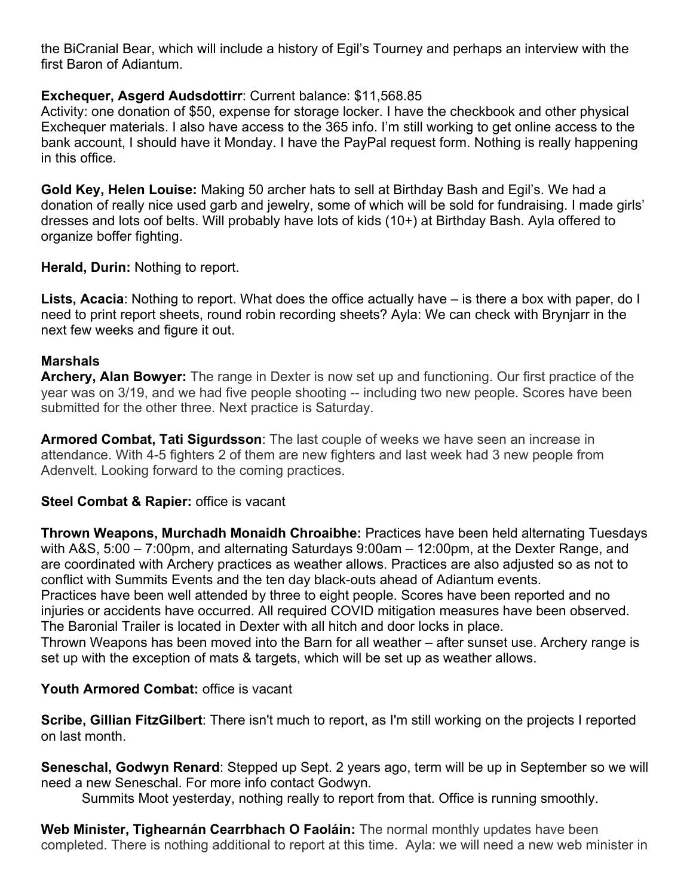the BiCranial Bear, which will include a history of Egil's Tourney and perhaps an interview with the first Baron of Adiantum.

## **Exchequer, Asgerd Audsdottirr**: Current balance: \$11,568.85

Activity: one donation of \$50, expense for storage locker. I have the checkbook and other physical Exchequer materials. I also have access to the 365 info. I'm still working to get online access to the bank account, I should have it Monday. I have the PayPal request form. Nothing is really happening in this office.

**Gold Key, Helen Louise:** Making 50 archer hats to sell at Birthday Bash and Egil's. We had a donation of really nice used garb and jewelry, some of which will be sold for fundraising. I made girls' dresses and lots oof belts. Will probably have lots of kids (10+) at Birthday Bash. Ayla offered to organize boffer fighting.

**Herald, Durin:** Nothing to report.

**Lists, Acacia**: Nothing to report. What does the office actually have – is there a box with paper, do I need to print report sheets, round robin recording sheets? Ayla: We can check with Brynjarr in the next few weeks and figure it out.

### **Marshals**

**Archery, Alan Bowyer:** The range in Dexter is now set up and functioning. Our first practice of the year was on 3/19, and we had five people shooting -- including two new people. Scores have been submitted for the other three. Next practice is Saturday.

**Armored Combat, Tati Sigurdsson**: The last couple of weeks we have seen an increase in attendance. With 4-5 fighters 2 of them are new fighters and last week had 3 new people from Adenvelt. Looking forward to the coming practices.

### **Steel Combat & Rapier: office is vacant**

**Thrown Weapons, Murchadh Monaidh Chroaibhe:** Practices have been held alternating Tuesdays with A&S, 5:00 – 7:00pm, and alternating Saturdays 9:00am – 12:00pm, at the Dexter Range, and are coordinated with Archery practices as weather allows. Practices are also adjusted so as not to conflict with Summits Events and the ten day black-outs ahead of Adiantum events.

Practices have been well attended by three to eight people. Scores have been reported and no injuries or accidents have occurred. All required COVID mitigation measures have been observed. The Baronial Trailer is located in Dexter with all hitch and door locks in place.

Thrown Weapons has been moved into the Barn for all weather – after sunset use. Archery range is set up with the exception of mats & targets, which will be set up as weather allows.

# **Youth Armored Combat:** office is vacant

**Scribe, Gillian FitzGilbert**: There isn't much to report, as I'm still working on the projects I reported on last month.

**Seneschal, Godwyn Renard**: Stepped up Sept. 2 years ago, term will be up in September so we will need a new Seneschal. For more info contact Godwyn.

Summits Moot yesterday, nothing really to report from that. Office is running smoothly.

**Web Minister, Tighearnán Cearrbhach O Faoláin:** The normal monthly updates have been completed. There is nothing additional to report at this time. Ayla: we will need a new web minister in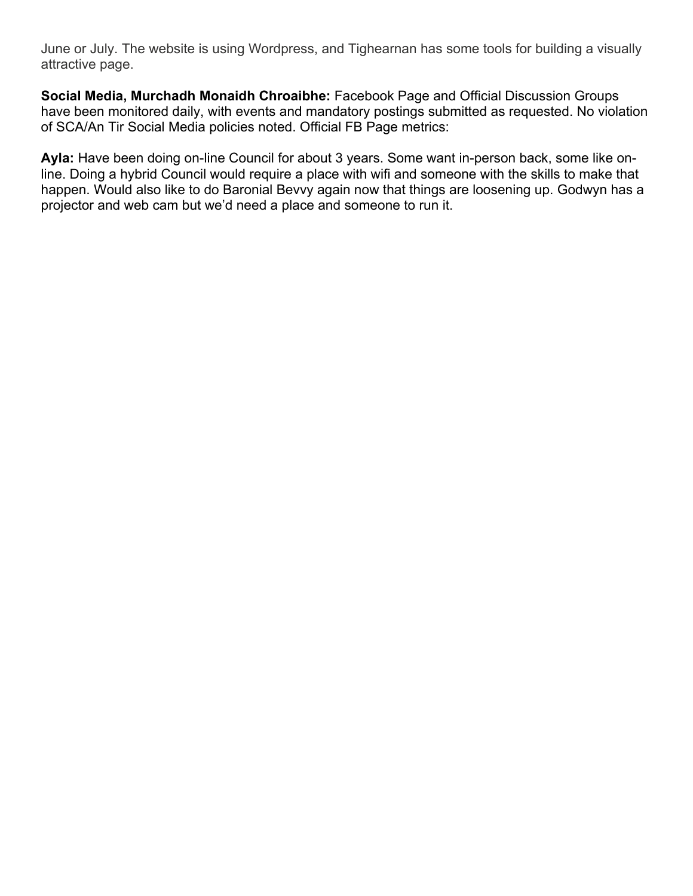June or July. The website is using Wordpress, and Tighearnan has some tools for building a visually attractive page.

**Social Media, Murchadh Monaidh Chroaibhe:** Facebook Page and Official Discussion Groups have been monitored daily, with events and mandatory postings submitted as requested. No violation of SCA/An Tir Social Media policies noted. Official FB Page metrics:

**Ayla:** Have been doing on-line Council for about 3 years. Some want in-person back, some like online. Doing a hybrid Council would require a place with wifi and someone with the skills to make that happen. Would also like to do Baronial Bevvy again now that things are loosening up. Godwyn has a projector and web cam but we'd need a place and someone to run it.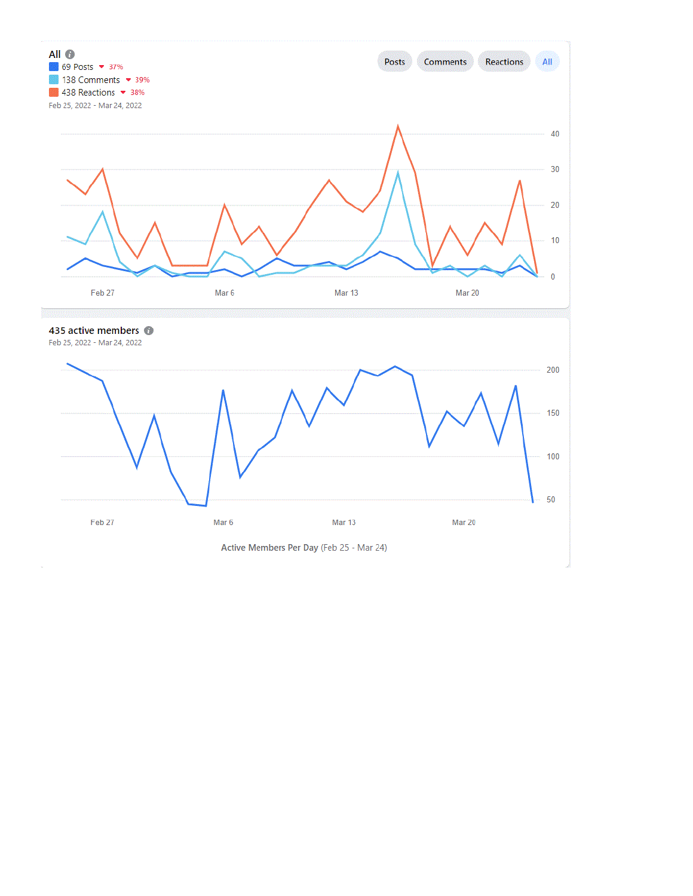